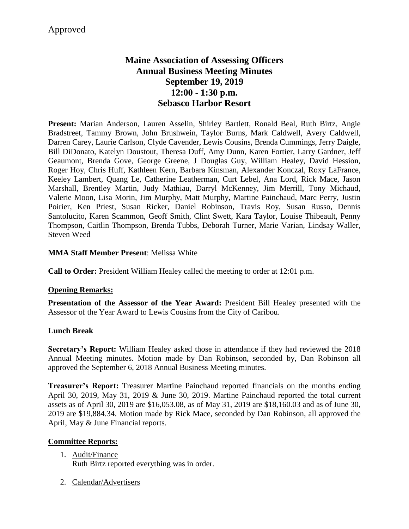# **Maine Association of Assessing Officers Annual Business Meeting Minutes September 19, 2019 12:00 - 1:30 p.m. Sebasco Harbor Resort**

**Present:** Marian Anderson, Lauren Asselin, Shirley Bartlett, Ronald Beal, Ruth Birtz, Angie Bradstreet, Tammy Brown, John Brushwein, Taylor Burns, Mark Caldwell, Avery Caldwell, Darren Carey, Laurie Carlson, Clyde Cavender, Lewis Cousins, Brenda Cummings, Jerry Daigle, Bill DiDonato, Katelyn Doustout, Theresa Duff, Amy Dunn, Karen Fortier, Larry Gardner, Jeff Geaumont, Brenda Gove, George Greene, J Douglas Guy, William Healey, David Hession, Roger Hoy, Chris Huff, Kathleen Kern, Barbara Kinsman, Alexander Konczal, Roxy LaFrance, Keeley Lambert, Quang Le, Catherine Leatherman, Curt Lebel, Ana Lord, Rick Mace, Jason Marshall, Brentley Martin, Judy Mathiau, Darryl McKenney, Jim Merrill, Tony Michaud, Valerie Moon, Lisa Morin, Jim Murphy, Matt Murphy, Martine Painchaud, Marc Perry, Justin Poirier, Ken Priest, Susan Ricker, Daniel Robinson, Travis Roy, Susan Russo, Dennis Santolucito, Karen Scammon, Geoff Smith, Clint Swett, Kara Taylor, Louise Thibeault, Penny Thompson, Caitlin Thompson, Brenda Tubbs, Deborah Turner, Marie Varian, Lindsay Waller, Steven Weed

### **MMA Staff Member Present**: Melissa White

**Call to Order:** President William Healey called the meeting to order at 12:01 p.m.

### **Opening Remarks:**

**Presentation of the Assessor of the Year Award:** President Bill Healey presented with the Assessor of the Year Award to Lewis Cousins from the City of Caribou.

### **Lunch Break**

**Secretary's Report:** William Healey asked those in attendance if they had reviewed the 2018 Annual Meeting minutes. Motion made by Dan Robinson, seconded by, Dan Robinson all approved the September 6, 2018 Annual Business Meeting minutes.

**Treasurer's Report:** Treasurer Martine Painchaud reported financials on the months ending April 30, 2019, May 31, 2019 & June 30, 2019. Martine Painchaud reported the total current assets as of April 30, 2019 are \$16,053.08, as of May 31, 2019 are \$18,160.03 and as of June 30, 2019 are \$19,884.34. Motion made by Rick Mace, seconded by Dan Robinson, all approved the April, May & June Financial reports.

#### **Committee Reports:**

- 1. Audit/Finance Ruth Birtz reported everything was in order.
- 2. Calendar/Advertisers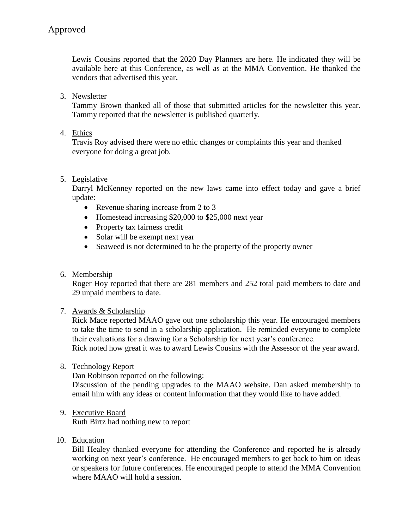Lewis Cousins reported that the 2020 Day Planners are here. He indicated they will be available here at this Conference, as well as at the MMA Convention. He thanked the vendors that advertised this year**.** 

3. Newsletter

Tammy Brown thanked all of those that submitted articles for the newsletter this year. Tammy reported that the newsletter is published quarterly.

4. Ethics

Travis Roy advised there were no ethic changes or complaints this year and thanked everyone for doing a great job.

# 5. Legislative

Darryl McKenney reported on the new laws came into effect today and gave a brief update:

- Revenue sharing increase from 2 to 3
- Homestead increasing \$20,000 to \$25,000 next year
- Property tax fairness credit
- Solar will be exempt next year
- Seaweed is not determined to be the property of the property owner
- 6. Membership

Roger Hoy reported that there are 281 members and 252 total paid members to date and 29 unpaid members to date.

### 7. Awards & Scholarship

Rick Mace reported MAAO gave out one scholarship this year. He encouraged members to take the time to send in a scholarship application. He reminded everyone to complete their evaluations for a drawing for a Scholarship for next year's conference.

Rick noted how great it was to award Lewis Cousins with the Assessor of the year award.

8. Technology Report

Dan Robinson reported on the following:

Discussion of the pending upgrades to the MAAO website. Dan asked membership to email him with any ideas or content information that they would like to have added.

9. Executive Board

Ruth Birtz had nothing new to report

10. Education

Bill Healey thanked everyone for attending the Conference and reported he is already working on next year's conference. He encouraged members to get back to him on ideas or speakers for future conferences. He encouraged people to attend the MMA Convention where MAAO will hold a session.